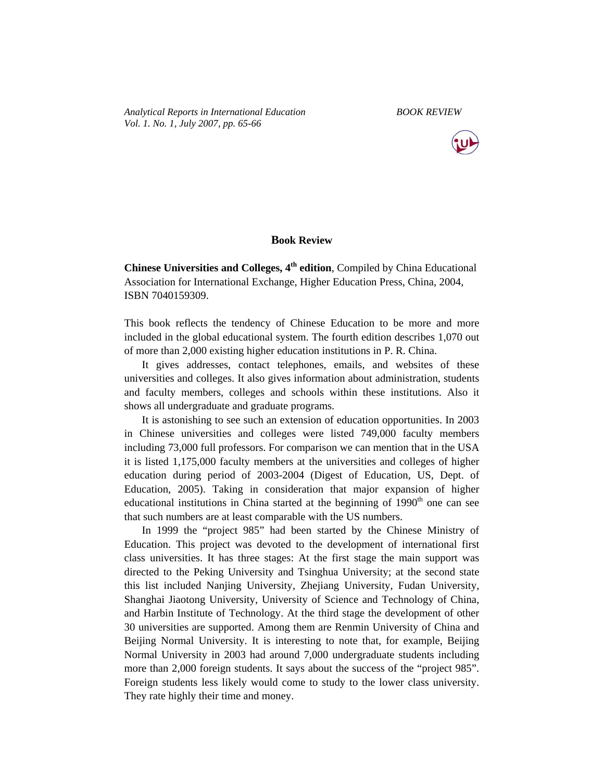*Analytical Reports in International Education BOOK REVIEW Vol. 1. No. 1, July 2007, pp. 65-66* 



## **Book Review**

**Chinese Universities and Colleges, 4th edition**, Compiled by China Educational Association for International Exchange, Higher Education Press, China, 2004, ISBN 7040159309.

This book reflects the tendency of Chinese Education to be more and more included in the global educational system. The fourth edition describes 1,070 out of more than 2,000 existing higher education institutions in P. R. China.

It gives addresses, contact telephones, emails, and websites of these universities and colleges. It also gives information about administration, students and faculty members, colleges and schools within these institutions. Also it shows all undergraduate and graduate programs.

It is astonishing to see such an extension of education opportunities. In 2003 in Chinese universities and colleges were listed 749,000 faculty members including 73,000 full professors. For comparison we can mention that in the USA it is listed 1,175,000 faculty members at the universities and colleges of higher education during period of 2003-2004 (Digest of Education, US, Dept. of Education, 2005). Taking in consideration that major expansion of higher educational institutions in China started at the beginning of  $1990<sup>th</sup>$  one can see that such numbers are at least comparable with the US numbers.

In 1999 the "project 985" had been started by the Chinese Ministry of Education. This project was devoted to the development of international first class universities. It has three stages: At the first stage the main support was directed to the Peking University and Tsinghua University; at the second state this list included Nanjing University, Zhejiang University, Fudan University, Shanghai Jiaotong University, University of Science and Technology of China, and Harbin Institute of Technology. At the third stage the development of other 30 universities are supported. Among them are Renmin University of China and Beijing Normal University. It is interesting to note that, for example, Beijing Normal University in 2003 had around 7,000 undergraduate students including more than 2,000 foreign students. It says about the success of the "project 985". Foreign students less likely would come to study to the lower class university. They rate highly their time and money.